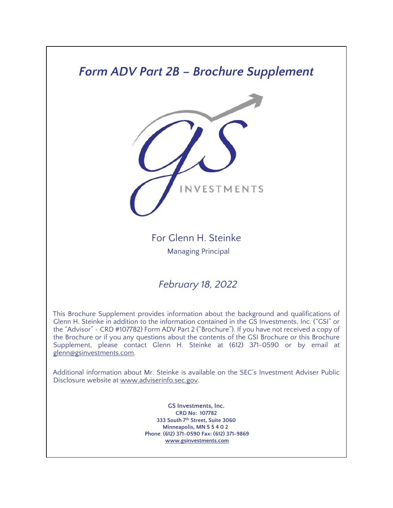# *Form ADV Part 2B – Brochure Supplement*



For Glenn H. Steinke Managing Principal

*February 18, 2022*

This Brochure Supplement provides information about the background and qualifications of Glenn H. Steinke in addition to the information contained in the GS Investments, Inc. ("GSI" or the "Advisor" - CRD #107782) Form ADV Part 2 ("Brochure"). If you have not received a copy of the Brochure or if you any questions about the contents of the GSI Brochure or this Brochure Supplement, please contact Glenn H. Steinke at (612) 371-0590 or by email at glenn@gsinvestments.com.

Additional information about Mr. Steinke is available on the SEC's Investment Adviser Public Disclosure website at www.adviserinfo.sec.gov.

> **GS Investments, Inc. CRD No: 107782 333 South 7th Street, Suite 3060 Minneapolis, MN 5 5 4 0 2 Phone**: **(612) 371-0590 Fax: (612) 371-9869 www.gsinvestments.com**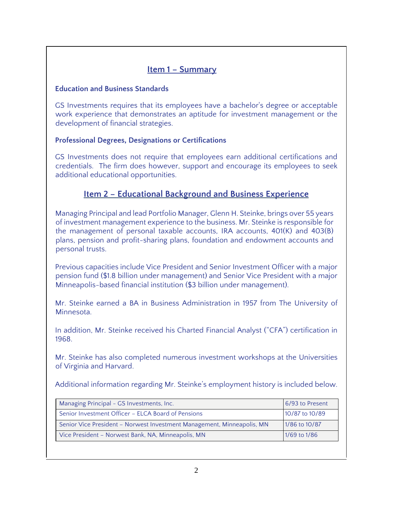## **Item 1 – Summary**

#### **Education and Business Standards**

GS Investments requires that its employees have a bachelor's degree or acceptable work experience that demonstrates an aptitude for investment management or the development of financial strategies.

#### **Professional Degrees, Designations or Certifications**

GS Investments does not require that employees earn additional certifications and credentials. The firm does however, support and encourage its employees to seek additional educational opportunities.

# **Item 2 – Educational Background and Business Experience**

Managing Principal and lead Portfolio Manager, Glenn H. Steinke, brings over 55 years of investment management experience to the business. Mr. Steinke is responsible for the management of personal taxable accounts, IRA accounts, 401(K) and 403(B) plans, pension and profit-sharing plans, foundation and endowment accounts and personal trusts.

Previous capacities include Vice President and Senior Investment Officer with a major pension fund (\$1.8 billion under management) and Senior Vice President with a major Minneapolis-based financial institution (\$3 billion under management).

Mr. Steinke earned a BA in Business Administration in 1957 from The University of **Minnesota** 

In addition, Mr. Steinke received his Charted Financial Analyst ("CFA") certification in 1968.

Mr. Steinke has also completed numerous investment workshops at the Universities of Virginia and Harvard.

Additional information regarding Mr. Steinke's employment history is included below.

| Managing Principal - GS Investments, Inc.                              | 6/93 to Present |
|------------------------------------------------------------------------|-----------------|
| Senior Investment Officer - ELCA Board of Pensions                     | 10/87 to 10/89  |
| Senior Vice President - Norwest Investment Management, Minneapolis, MN | 1/86 to 10/87   |
| Vice President - Norwest Bank, NA, Minneapolis, MN                     | 1/69 to 1/86    |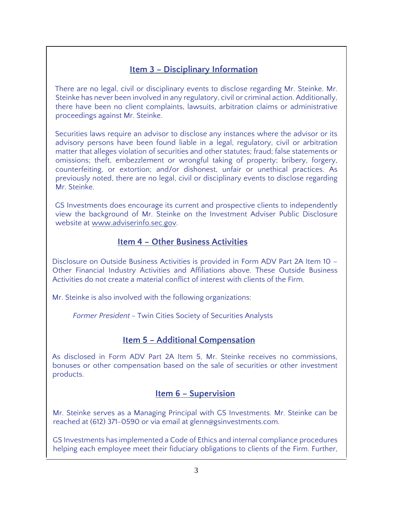# **Item 3 – Disciplinary Information**

There are no legal, civil or disciplinary events to disclose regarding Mr. Steinke. Mr. Steinke has never been involved in any regulatory, civil or criminal action. Additionally, there have been no client complaints, lawsuits, arbitration claims or administrative proceedings against Mr. Steinke.

Securities laws require an advisor to disclose any instances where the advisor or its advisory persons have been found liable in a legal, regulatory, civil or arbitration matter that alleges violation of securities and other statutes; fraud; false statements or omissions; theft, embezzlement or wrongful taking of property; bribery, forgery, counterfeiting, or extortion; and/or dishonest, unfair or unethical practices. As previously noted, there are no legal, civil or disciplinary events to disclose regarding Mr. Steinke.

GS Investments does encourage its current and prospective clients to independently view the background of Mr. Steinke on the Investment Adviser Public Disclosure website at www.adviserinfo.sec.gov.

### **Item 4 – Other Business Activities**

Disclosure on Outside Business Activities is provided in Form ADV Part 2A Item 10 – Other Financial Industry Activities and Affiliations above. These Outside Business Activities do not create a material conflict of interest with clients of the Firm.

Mr. Steinke is also involved with the following organizations:

*Former President* - Twin Cities Society of Securities Analysts

### **Item 5 – Additional Compensation**

As disclosed in Form ADV Part 2A Item 5, Mr. Steinke receives no commissions, bonuses or other compensation based on the sale of securities or other investment products.

### **Item 6 – Supervision**

Mr. Steinke serves as a Managing Principal with GS Investments. Mr. Steinke can be reached at (612) 371-0590 or via email at glenn@gsinvestments.com.

GS Investments has implemented a Code of Ethics and internal compliance procedures helping each employee meet their fiduciary obligations to clients of the Firm. Further,